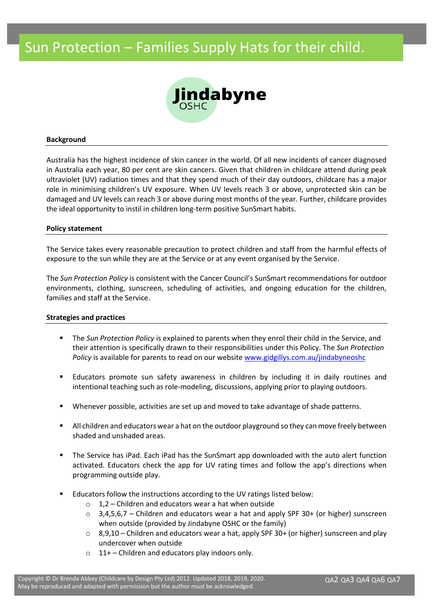# Sun Protection – Families Supply Hats for their child.



#### **Background**

Australia has the highest incidence of skin cancer in the world. Of all new incidents of cancer diagnosed in Australia each year, 80 per cent are skin cancers. Given that children in childcare attend during peak ultraviolet (UV) radiation times and that they spend much of their day outdoors, childcare has a major role in minimising children's UV exposure. When UV levels reach 3 or above, unprotected skin can be damaged and UV levels can reach 3 or above during most months of the year. Further, childcare provides the ideal opportunity to instil in children long-term positive SunSmart habits.

#### **Policy statement**

The Service takes every reasonable precaution to protect children and staff from the harmful effects of exposure to the sun while they are at the Service or at any event organised by the Service.

The *Sun Protection Policy* is consistent with the Cancer Council's SunSmart recommendations for outdoor environments, clothing, sunscreen, scheduling of activities, and ongoing education for the children, families and staff at the Service.

#### **Strategies and practices**

- The *Sun Protection Policy* is explained to parents when they enrol their child in the Service, and their attention is specifically drawn to their responsibilities under this Policy. The *Sun Protection Policy* is available for parents to read on our website [www.gidgillys.com.au/jindabyneoshc](http://www.gidgillys.com.au/jindabyneoshc)
- **Educators promote sun safety awareness in children by including it in daily routines and** intentional teaching such as role-modeling, discussions, applying prior to playing outdoors.
- Whenever possible, activities are set up and moved to take advantage of shade patterns.
- All children and educators wear a hat on the outdoor playground so they can move freely between shaded and unshaded areas.
- The Service has iPad. Each iPad has the SunSmart app downloaded with the auto alert function activated. Educators check the app for UV rating times and follow the app's directions when programming outside play.
- Educators follow the instructions according to the UV ratings listed below:
	- $\circ$  1,2 Children and educators wear a hat when outside
	- $\circ$  3,4,5,6,7 Children and educators wear a hat and apply SPF 30+ (or higher) sunscreen when outside (provided by Jindabyne OSHC or the family)
	- $\circ$  8,9,10 Children and educators wear a hat, apply SPF 30+ (or higher) sunscreen and play undercover when outside
	- $\circ$  11+ Children and educators play indoors only.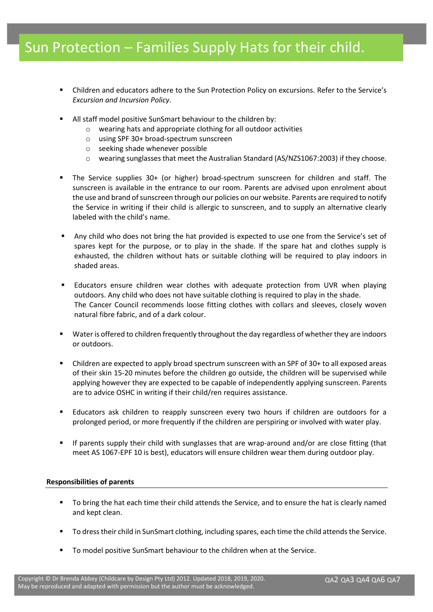## Sun Protection – Families Supply Hats for their child.

- Children and educators adhere to the Sun Protection Policy on excursions. Refer to the Service's *Excursion and Incursion Policy*.
- All staff model positive SunSmart behaviour to the children by:
	- o wearing hats and appropriate clothing for all outdoor activities
	- o using SPF 30+ broad-spectrum sunscreen
	- o seeking shade whenever possible
	- o wearing sunglasses that meet the Australian Standard (AS/NZS1067:2003) if they choose.
- The Service supplies 30+ (or higher) broad-spectrum sunscreen for children and staff. The sunscreen is available in the entrance to our room. Parents are advised upon enrolment about the use and brand of sunscreen through our policies on our website. Parents are required to notify the Service in writing if their child is allergic to sunscreen, and to supply an alternative clearly labeled with the child's name.
- Any child who does not bring the hat provided is expected to use one from the Service's set of spares kept for the purpose, or to play in the shade. If the spare hat and clothes supply is exhausted, the children without hats or suitable clothing will be required to play indoors in shaded areas.
- **•** Educators ensure children wear clothes with adequate protection from UVR when playing outdoors. Any child who does not have suitable clothing is required to play in the shade. The Cancer Council recommends loose fitting clothes with collars and sleeves, closely woven natural fibre fabric, and of a dark colour.
- Water is offered to children frequently throughout the day regardless of whether they are indoors or outdoors.
- Children are expected to apply broad spectrum sunscreen with an SPF of 30+ to all exposed areas of their skin 15-20 minutes before the children go outside, the children will be supervised while applying however they are expected to be capable of independently applying sunscreen. Parents are to advice OSHC in writing if their child/ren requires assistance.
- Educators ask children to reapply sunscreen every two hours if children are outdoors for a prolonged period, or more frequently if the children are perspiring or involved with water play.
- If parents supply their child with sunglasses that are wrap-around and/or are close fitting (that meet AS 1067-EPF 10 is best), educators will ensure children wear them during outdoor play.

### **Responsibilities of parents**

- To bring the hat each time their child attends the Service, and to ensure the hat is clearly named and kept clean.
- To dress their child in SunSmart clothing, including spares, each time the child attends the Service.
- To model positive SunSmart behaviour to the children when at the Service.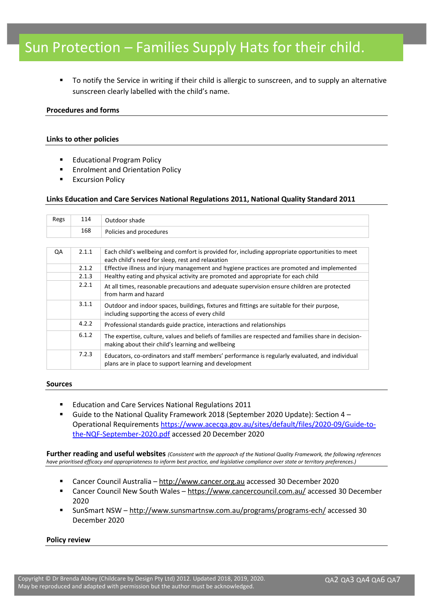# Sun Protection – Families Supply Hats for their child.

To notify the Service in writing if their child is allergic to sunscreen, and to supply an alternative sunscreen clearly labelled with the child's name.

### **Procedures and forms**

### **Links to other policies**

- **Educational Program Policy**
- Enrolment and Orientation Policy
- **Excursion Policy**

### **Links Education and Care Services National Regulations 2011, National Quality Standard 2011**

| Regs | 114                                                                                                                                                               | Outdoor shade                                                                                                                                             |  |  |
|------|-------------------------------------------------------------------------------------------------------------------------------------------------------------------|-----------------------------------------------------------------------------------------------------------------------------------------------------------|--|--|
|      | 168                                                                                                                                                               | Policies and procedures                                                                                                                                   |  |  |
|      |                                                                                                                                                                   |                                                                                                                                                           |  |  |
| QA   | 2.1.1                                                                                                                                                             | Each child's wellbeing and comfort is provided for, including appropriate opportunities to meet<br>each child's need for sleep, rest and relaxation       |  |  |
|      | 2.1.2                                                                                                                                                             | Effective illness and injury management and hygiene practices are promoted and implemented                                                                |  |  |
|      | 2.1.3                                                                                                                                                             | Healthy eating and physical activity are promoted and appropriate for each child                                                                          |  |  |
|      | 2.2.1                                                                                                                                                             | At all times, reasonable precautions and adequate supervision ensure children are protected<br>from harm and hazard                                       |  |  |
|      | 3.1.1                                                                                                                                                             | Outdoor and indoor spaces, buildings, fixtures and fittings are suitable for their purpose,<br>including supporting the access of every child             |  |  |
|      | 4.2.2                                                                                                                                                             | Professional standards guide practice, interactions and relationships                                                                                     |  |  |
|      | 6.1.2                                                                                                                                                             | The expertise, culture, values and beliefs of families are respected and families share in decision-<br>making about their child's learning and wellbeing |  |  |
|      | 7.2.3<br>Educators, co-ordinators and staff members' performance is regularly evaluated, and individual<br>plans are in place to support learning and development |                                                                                                                                                           |  |  |

#### **Sources**

- Education and Care Services National Regulations 2011
- Guide to the National Quality Framework 2018 (September 2020 Update): Section 4 -Operational Requirements [https://www.acecqa.gov.au/sites/default/files/2020-09/Guide-to](https://www.acecqa.gov.au/sites/default/files/2020-09/Guide-to-the-NQF-September-2020.pdf)[the-NQF-September-2020.pdf](https://www.acecqa.gov.au/sites/default/files/2020-09/Guide-to-the-NQF-September-2020.pdf) accessed 20 December 2020

**Further reading and useful websites** *(Consistent with the approach of the National Quality Framework, the following references have prioritised efficacy and appropriateness to inform best practice, and legislative compliance over state or territory preferences.)*

- Cancer Council Australia [http://www.cancer.org.au](http://www.cancer.org.au/) accessed 30 December 2020
- Cancer Council New South Wales <https://www.cancercouncil.com.au/> accessed 30 December 2020
- SunSmart NSW <http://www.sunsmartnsw.com.au/programs/programs-ech/> accessed 30 December 2020

#### **Policy review**